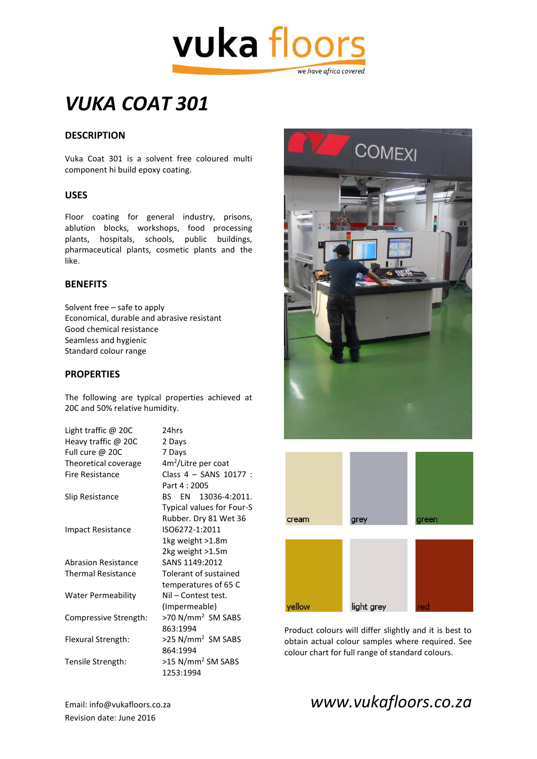

# *VUKA COAT 301*

#### **DESCRIPTION**

Vuka Coat 301 is a solvent free coloured multi component hi build epoxy coating.

#### **USES**

Floor coating for general industry, prisons, ablution blocks, workshops, food processing plants, hospitals, schools, public buildings, pharmaceutical plants, cosmetic plants and the like.

#### **BENEFITS**

Solvent free – safe to apply Economical, durable and abrasive resistant Good chemical resistance Seamless and hygienic Standard colour range

#### **PROPERTIES**

The following are typical properties achieved at 20C and 50% relative humidity.

| Light traffic @ 20C        | 24hrs                           |
|----------------------------|---------------------------------|
| Heavy traffic @ 20C        | 2 Days                          |
| Full cure @ 20C            | 7 Days                          |
| Theoretical coverage       | 4m <sup>2</sup> /Litre per coat |
| Fire Resistance            | Class 4 - SANS 10177 :          |
|                            | Part 4:2005                     |
| Slip Resistance            | BS EN 13036-4:2011.             |
|                            | Typical values for Four-S       |
|                            | Rubber. Dry 81 Wet 36           |
| <b>Impact Resistance</b>   | ISO6272-1:2011                  |
|                            | 1kg weight >1.8m                |
|                            | 2kg weight >1.5m                |
| <b>Abrasion Resistance</b> | SANS 1149:2012                  |
| <b>Thermal Resistance</b>  | Tolerant of sustained           |
|                            | temperatures of 65 C            |
| <b>Water Permeability</b>  | Nil - Contest test.             |
|                            | (Impermeable)                   |
| Compressive Strength:      | >70 N/mm <sup>2</sup> SM SABS   |
|                            | 863:1994                        |
| Flexural Strength:         | >25 N/mm <sup>2</sup> SM SABS   |
|                            | 864:1994                        |
| Tensile Strength:          | >15 N/mm <sup>2</sup> SM SABS   |
|                            | 1253:1994                       |





Product colours will differ slightly and it is best to obtain actual colour samples where required. See colour chart for full range of standard colours.

Revision date: June 2016

### Email: info@vukafloors.co.za *www.vukafloors.co.za*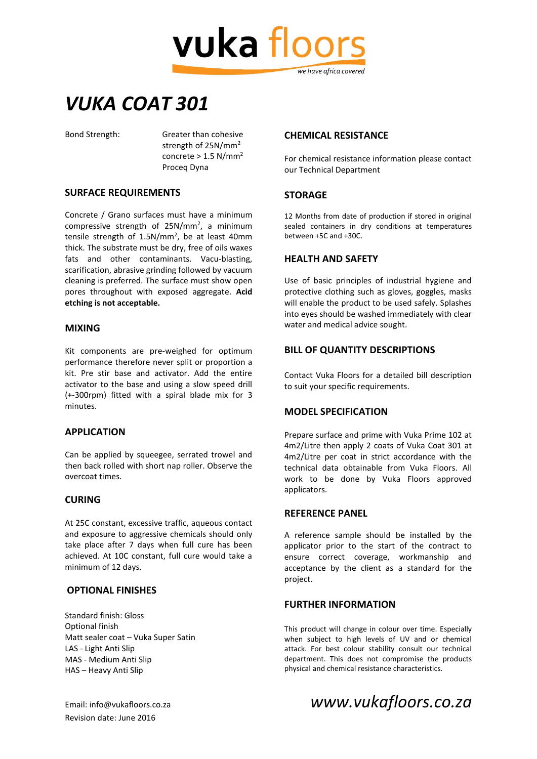

## *VUKA COAT 301*

Bond Strength: Greater than cohesive strength of 25N/mm<sup>2</sup> concrete  $> 1.5$  N/mm<sup>2</sup> Proceq Dyna

#### **SURFACE REQUIREMENTS**

Concrete / Grano surfaces must have a minimum compressive strength of 25N/mm<sup>2</sup>, a minimum tensile strength of 1.5N/mm<sup>2</sup>, be at least 40mm thick. The substrate must be dry, free of oils waxes fats and other contaminants. Vacu-blasting, scarification, abrasive grinding followed by vacuum cleaning is preferred. The surface must show open pores throughout with exposed aggregate. **Acid etching is not acceptable.**

#### **MIXING**

Kit components are pre-weighed for optimum performance therefore never split or proportion a kit. Pre stir base and activator. Add the entire activator to the base and using a slow speed drill (+-300rpm) fitted with a spiral blade mix for 3 minutes.

#### **APPLICATION**

Can be applied by squeegee, serrated trowel and then back rolled with short nap roller. Observe the overcoat times.

#### **CURING**

At 25C constant, excessive traffic, aqueous contact and exposure to aggressive chemicals should only take place after 7 days when full cure has been achieved. At 10C constant, full cure would take a minimum of 12 days.

#### **OPTIONAL FINISHES**

Standard finish: Gloss Optional finish Matt sealer coat – Vuka Super Satin LAS - Light Anti Slip MAS - Medium Anti Slip HAS – Heavy Anti Slip

#### **CHEMICAL RESISTANCE**

For chemical resistance information please contact our Technical Department

#### **STORAGE**

12 Months from date of production if stored in original sealed containers in dry conditions at temperatures between +5C and +30C.

#### **HEALTH AND SAFETY**

Use of basic principles of industrial hygiene and protective clothing such as gloves, goggles, masks will enable the product to be used safely. Splashes into eyes should be washed immediately with clear water and medical advice sought.

#### **BILL OF QUANTITY DESCRIPTIONS**

Contact Vuka Floors for a detailed bill description to suit your specific requirements.

#### **MODEL SPECIFICATION**

Prepare surface and prime with Vuka Prime 102 at 4m2/Litre then apply 2 coats of Vuka Coat 301 at 4m2/Litre per coat in strict accordance with the technical data obtainable from Vuka Floors. All work to be done by Vuka Floors approved applicators.

#### **REFERENCE PANEL**

A reference sample should be installed by the applicator prior to the start of the contract to ensure correct coverage, workmanship and acceptance by the client as a standard for the project.

#### **FURTHER INFORMATION**

This product will change in colour over time. Especially when subject to high levels of UV and or chemical attack. For best colour stability consult our technical department. This does not compromise the products physical and chemical resistance characteristics.

Revision date: June 2016

Email: info@vukafloors.co.za *www.vukafloors.co.za*